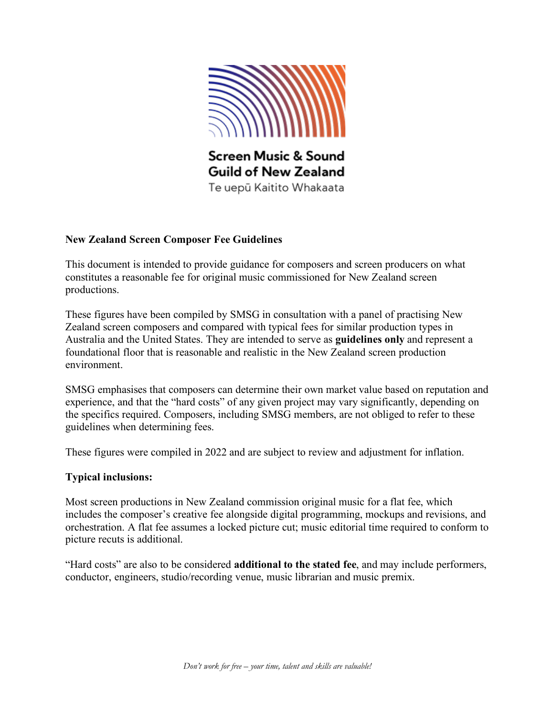

#### **New Zealand Screen Composer Fee Guidelines**

This document is intended to provide guidance for composers and screen producers on what constitutes a reasonable fee for original music commissioned for New Zealand screen productions.

These figures have been compiled by SMSG in consultation with a panel of practising New Zealand screen composers and compared with typical fees for similar production types in Australia and the United States. They are intended to serve as **guidelines only** and represent a foundational floor that is reasonable and realistic in the New Zealand screen production environment.

SMSG emphasises that composers can determine their own market value based on reputation and experience, and that the "hard costs" of any given project may vary significantly, depending on the specifics required. Composers, including SMSG members, are not obliged to refer to these guidelines when determining fees.

These figures were compiled in 2022 and are subject to review and adjustment for inflation.

#### **Typical inclusions:**

Most screen productions in New Zealand commission original music for a flat fee, which includes the composer's creative fee alongside digital programming, mockups and revisions, and orchestration. A flat fee assumes a locked picture cut; music editorial time required to conform to picture recuts is additional.

"Hard costs" are also to be considered **additional to the stated fee**, and may include performers, conductor, engineers, studio/recording venue, music librarian and music premix.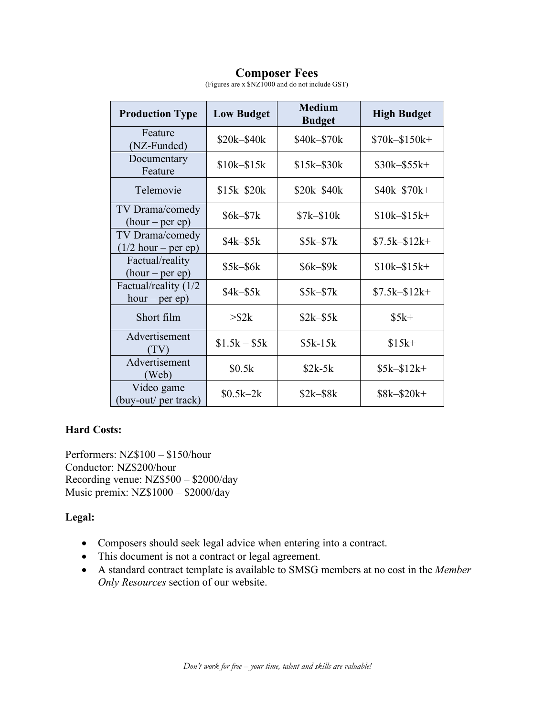# **Composer Fees**

| <b>Production Type</b>                    | <b>Low Budget</b> | <b>Medium</b><br><b>Budget</b> | <b>High Budget</b> |
|-------------------------------------------|-------------------|--------------------------------|--------------------|
| Feature<br>(NZ-Funded)                    | \$20k-\$40k       | \$40k-\$70k                    | \$70k-\$150k+      |
| Documentary<br>Feature                    | \$10k-\$15k       | $$15k - $30k$                  | $$30k-$55k+$       |
| Telemovie                                 | $$15k - $20k$     | \$20k-\$40k                    | \$40k-\$70k+       |
| TV Drama/comedy<br>$(hour-per ep)$        | \$6k-\$7k         | $$7k-$10k$                     | $$10k - $15k +$    |
| TV Drama/comedy<br>$(1/2$ hour – per ep)  | \$4k–\$5k         | $$5k-57k$                      | $$7.5k - $12k +$   |
| Factual/reality<br>$(hour-per ep)$        | \$5k-\$6k         | \$6k–\$9k                      | $$10k - $15k +$    |
| Factual/reality (1/2)<br>$hour - per ep)$ | $$4k-$5k$         | $$5k-57k$                      | $$7.5k - $12k +$   |
| Short film                                | $>$ \$2 $k$       | $$2k-$5k$                      | $$5k+$             |
| Advertisement<br>(TV)                     | $$1.5k - $5k$     | $$5k-15k$                      | $$15k+$            |
| Advertisement<br>(Web)                    | \$0.5k            | $$2k-5k$                       | $$5k-$12k+$        |
| Video game<br>(buy-out/ per track)        | $$0.5k-2k$        | $$2k-$8k$                      | $$8k-$20k+$        |

(Figures are x \$NZ1000 and do not include GST)

## **Hard Costs:**

Performers: NZ\$100 – \$150/hour Conductor: NZ\$200/hour Recording venue: NZ\$500 – \$2000/day Music premix: NZ\$1000 – \$2000/day

#### **Legal:**

- Composers should seek legal advice when entering into a contract.
- This document is not a contract or legal agreement.
- A standard contract template is available to SMSG members at no cost in the *Member Only Resources* section of our website.